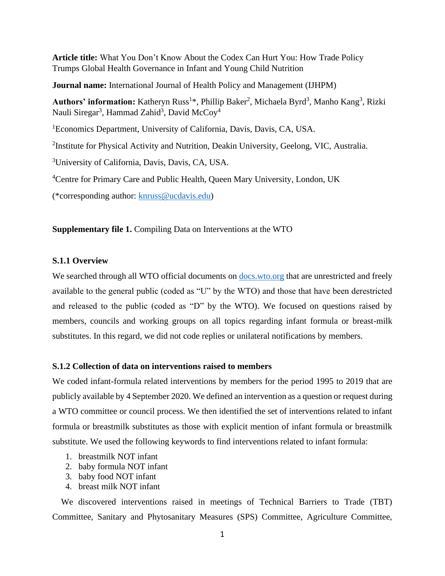**Article title:** What You Don't Know About the Codex Can Hurt You: How Trade Policy Trumps Global Health Governance in Infant and Young Child Nutrition

**Journal name:** International Journal of Health Policy and Management (IJHPM)

Authors' information: Katheryn Russ<sup>1\*</sup>, Phillip Baker<sup>2</sup>, Michaela Byrd<sup>3</sup>, Manho Kang<sup>3</sup>, Rizki Nauli Siregar<sup>3</sup>, Hammad Zahid<sup>3</sup>, David McCoy<sup>4</sup>

<sup>1</sup>Economics Department, University of California, Davis, Davis, CA, USA.

<sup>2</sup>Institute for Physical Activity and Nutrition, Deakin University, Geelong, VIC, Australia.

<sup>3</sup>University of California, Davis, Davis, CA, USA.

<sup>4</sup>Centre for Primary Care and Public Health, Queen Mary University, London, UK

(\*corresponding author: [knruss@ucdavis.edu\)](mailto:knruss@ucdavis.edu)

**Supplementary file 1.** Compiling Data on Interventions at the WTO

## **S.1.1 Overview**

We searched through all WTO official documents on [docs.wto.org](https://docs.wto.org/dol2fe/Pages/FE_Search/FE_S_S005.aspx) that are unrestricted and freely available to the general public (coded as "U" by the WTO) and those that have been derestricted and released to the public (coded as "D" by the WTO). We focused on questions raised by members, councils and working groups on all topics regarding infant formula or breast-milk substitutes. In this regard, we did not code replies or unilateral notifications by members.

## **S.1.2 Collection of data on interventions raised to members**

We coded infant-formula related interventions by members for the period 1995 to 2019 that are publicly available by 4 September 2020. We defined an intervention as a question or request during a WTO committee or council process. We then identified the set of interventions related to infant formula or breastmilk substitutes as those with explicit mention of infant formula or breastmilk substitute. We used the following keywords to find interventions related to infant formula:

- 1. breastmilk NOT infant
- 2. baby formula NOT infant
- 3. baby food NOT infant
- 4. breast milk NOT infant

 We discovered interventions raised in meetings of Technical Barriers to Trade (TBT) Committee, Sanitary and Phytosanitary Measures (SPS) Committee, Agriculture Committee,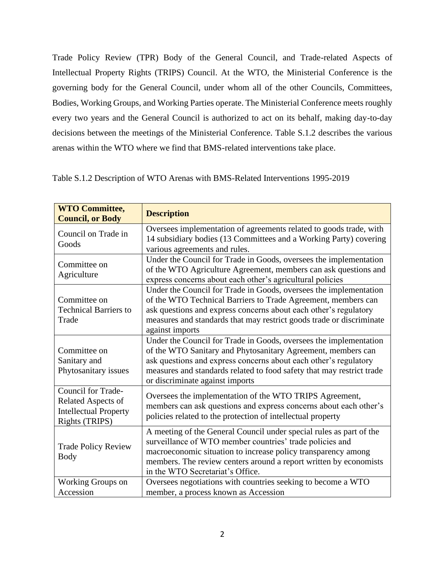Trade Policy Review (TPR) Body of the General Council, and Trade-related Aspects of Intellectual Property Rights (TRIPS) Council. At the WTO, the Ministerial Conference is the governing body for the General Council, under whom all of the other Councils, Committees, Bodies, Working Groups, and Working Parties operate. The Ministerial Conference meets roughly every two years and the General Council is authorized to act on its behalf, making day-to-day decisions between the meetings of the Ministerial Conference. Table S.1.2 describes the various arenas within the WTO where we find that BMS-related interventions take place.

| <b>WTO Committee,</b><br><b>Council, or Body</b>                                           | <b>Description</b>                                                                                                                                                                                                                                                                                                |  |  |  |
|--------------------------------------------------------------------------------------------|-------------------------------------------------------------------------------------------------------------------------------------------------------------------------------------------------------------------------------------------------------------------------------------------------------------------|--|--|--|
| Council on Trade in<br>Goods                                                               | Oversees implementation of agreements related to goods trade, with<br>14 subsidiary bodies (13 Committees and a Working Party) covering<br>various agreements and rules.                                                                                                                                          |  |  |  |
| Committee on<br>Agriculture                                                                | Under the Council for Trade in Goods, oversees the implementation<br>of the WTO Agriculture Agreement, members can ask questions and<br>express concerns about each other's agricultural policies                                                                                                                 |  |  |  |
| Committee on<br><b>Technical Barriers to</b><br>Trade                                      | Under the Council for Trade in Goods, oversees the implementation<br>of the WTO Technical Barriers to Trade Agreement, members can<br>ask questions and express concerns about each other's regulatory<br>measures and standards that may restrict goods trade or discriminate<br>against imports                 |  |  |  |
| Committee on<br>Sanitary and<br>Phytosanitary issues                                       | Under the Council for Trade in Goods, oversees the implementation<br>of the WTO Sanitary and Phytosanitary Agreement, members can<br>ask questions and express concerns about each other's regulatory<br>measures and standards related to food safety that may restrict trade<br>or discriminate against imports |  |  |  |
| Council for Trade-<br>Related Aspects of<br><b>Intellectual Property</b><br>Rights (TRIPS) | Oversees the implementation of the WTO TRIPS Agreement,<br>members can ask questions and express concerns about each other's<br>policies related to the protection of intellectual property                                                                                                                       |  |  |  |
| <b>Trade Policy Review</b><br><b>Body</b>                                                  | A meeting of the General Council under special rules as part of the<br>surveillance of WTO member countries' trade policies and<br>macroeconomic situation to increase policy transparency among<br>members. The review centers around a report written by economists<br>in the WTO Secretariat's Office.         |  |  |  |
| Working Groups on<br>Accession                                                             | Oversees negotiations with countries seeking to become a WTO<br>member, a process known as Accession                                                                                                                                                                                                              |  |  |  |

Table S.1.2 Description of WTO Arenas with BMS-Related Interventions 1995-2019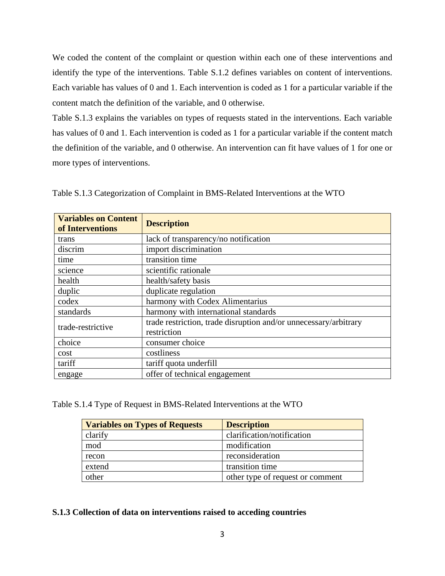We coded the content of the complaint or question within each one of these interventions and identify the type of the interventions. Table S.1.2 defines variables on content of interventions. Each variable has values of 0 and 1. Each intervention is coded as 1 for a particular variable if the content match the definition of the variable, and 0 otherwise.

Table S.1.3 explains the variables on types of requests stated in the interventions. Each variable has values of 0 and 1. Each intervention is coded as 1 for a particular variable if the content match the definition of the variable, and 0 otherwise. An intervention can fit have values of 1 for one or more types of interventions.

| <b>Variables on Content</b><br>of Interventions | <b>Description</b>                                                              |  |  |  |
|-------------------------------------------------|---------------------------------------------------------------------------------|--|--|--|
| trans                                           | lack of transparency/no notification                                            |  |  |  |
| discrim                                         | import discrimination                                                           |  |  |  |
| time                                            | transition time                                                                 |  |  |  |
| science                                         | scientific rationale                                                            |  |  |  |
| health                                          | health/safety basis                                                             |  |  |  |
| duplic                                          | duplicate regulation                                                            |  |  |  |
| codex                                           | harmony with Codex Alimentarius                                                 |  |  |  |
| standards                                       | harmony with international standards                                            |  |  |  |
| trade-restrictive                               | trade restriction, trade disruption and/or unnecessary/arbitrary<br>restriction |  |  |  |
| choice                                          | consumer choice                                                                 |  |  |  |
| cost                                            | costliness                                                                      |  |  |  |
| tariff                                          | tariff quota underfill                                                          |  |  |  |
| engage                                          | offer of technical engagement                                                   |  |  |  |

Table S.1.3 Categorization of Complaint in BMS-Related Interventions at the WTO

Table S.1.4 Type of Request in BMS-Related Interventions at the WTO

| <b>Variables on Types of Requests</b> | <b>Description</b>               |
|---------------------------------------|----------------------------------|
| clarify                               | clarification/notification       |
| mod                                   | modification                     |
| recon                                 | reconsideration                  |
| extend                                | transition time                  |
| other                                 | other type of request or comment |

**S.1.3 Collection of data on interventions raised to acceding countries**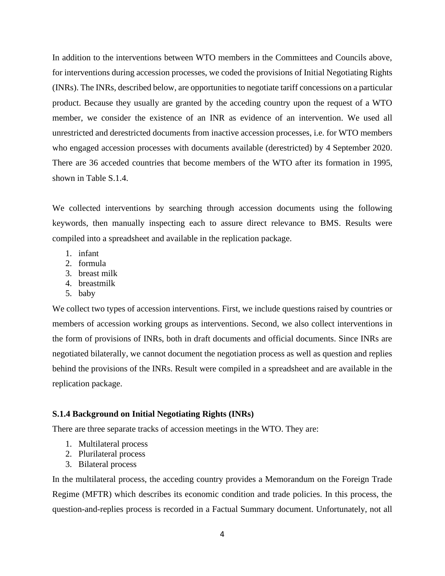In addition to the interventions between WTO members in the Committees and Councils above, for interventions during accession processes, we coded the provisions of Initial Negotiating Rights (INRs). The INRs, described below, are opportunities to negotiate tariff concessions on a particular product. Because they usually are granted by the acceding country upon the request of a WTO member, we consider the existence of an INR as evidence of an intervention. We used all unrestricted and derestricted documents from inactive accession processes, i.e. for WTO members who engaged accession processes with documents available (derestricted) by 4 September 2020. There are 36 acceded countries that become members of the WTO after its formation in 1995, shown in Table S.1.4.

We collected interventions by searching through accession documents using the following keywords, then manually inspecting each to assure direct relevance to BMS. Results were compiled into a spreadsheet and available in the replication package.

- 1. infant
- 2. formula
- 3. breast milk
- 4. breastmilk
- 5. baby

We collect two types of accession interventions. First, we include questions raised by countries or members of accession working groups as interventions. Second, we also collect interventions in the form of provisions of INRs, both in draft documents and official documents. Since INRs are negotiated bilaterally, we cannot document the negotiation process as well as question and replies behind the provisions of the INRs. Result were compiled in a spreadsheet and are available in the replication package.

## **S.1.4 Background on Initial Negotiating Rights (INRs)**

There are three separate tracks of accession meetings in the WTO. They are:

- 1. Multilateral process
- 2. Plurilateral process
- 3. Bilateral process

In the multilateral process, the acceding country provides a Memorandum on the Foreign Trade Regime (MFTR) which describes its economic condition and trade policies. In this process, the question-and-replies process is recorded in a Factual Summary document. Unfortunately, not all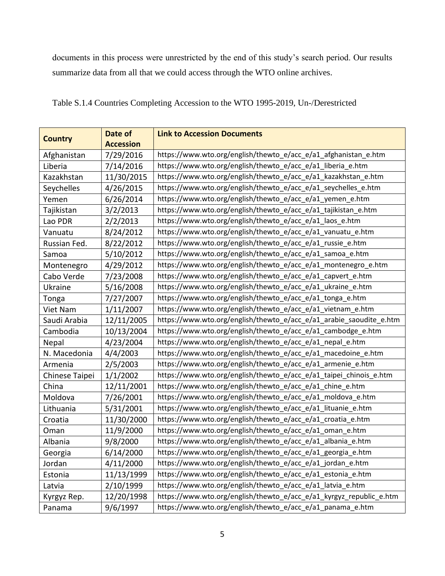documents in this process were unrestricted by the end of this study's search period. Our results summarize data from all that we could access through the WTO online archives.

| <b>Country</b> | Date of<br><b>Accession</b> | <b>Link to Accession Documents</b>                                  |
|----------------|-----------------------------|---------------------------------------------------------------------|
| Afghanistan    | 7/29/2016                   | https://www.wto.org/english/thewto_e/acc_e/a1_afghanistan_e.htm     |
| Liberia        | 7/14/2016                   | https://www.wto.org/english/thewto_e/acc_e/a1_liberia_e.htm         |
| Kazakhstan     | 11/30/2015                  | https://www.wto.org/english/thewto_e/acc_e/a1_kazakhstan_e.htm      |
| Seychelles     | 4/26/2015                   | https://www.wto.org/english/thewto_e/acc_e/a1_seychelles_e.htm      |
| Yemen          | 6/26/2014                   | https://www.wto.org/english/thewto_e/acc_e/a1_yemen_e.htm           |
| Tajikistan     | 3/2/2013                    | https://www.wto.org/english/thewto_e/acc_e/a1_tajikistan_e.htm      |
| Lao PDR        | 2/2/2013                    | https://www.wto.org/english/thewto_e/acc_e/a1_laos_e.htm            |
| Vanuatu        | 8/24/2012                   | https://www.wto.org/english/thewto_e/acc_e/a1_vanuatu_e.htm         |
| Russian Fed.   | 8/22/2012                   | https://www.wto.org/english/thewto_e/acc_e/a1_russie_e.htm          |
| Samoa          | 5/10/2012                   | https://www.wto.org/english/thewto_e/acc_e/a1_samoa_e.htm           |
| Montenegro     | 4/29/2012                   | https://www.wto.org/english/thewto_e/acc_e/a1_montenegro_e.htm      |
| Cabo Verde     | 7/23/2008                   | https://www.wto.org/english/thewto_e/acc_e/a1_capvert_e.htm         |
| Ukraine        | 5/16/2008                   | https://www.wto.org/english/thewto_e/acc_e/a1_ukraine_e.htm         |
| Tonga          | 7/27/2007                   | https://www.wto.org/english/thewto_e/acc_e/a1_tonga_e.htm           |
| Viet Nam       | 1/11/2007                   | https://www.wto.org/english/thewto_e/acc_e/a1_vietnam_e.htm         |
| Saudi Arabia   | 12/11/2005                  | https://www.wto.org/english/thewto_e/acc_e/a1_arabie_saoudite_e.htm |
| Cambodia       | 10/13/2004                  | https://www.wto.org/english/thewto_e/acc_e/a1_cambodge_e.htm        |
| Nepal          | 4/23/2004                   | https://www.wto.org/english/thewto_e/acc_e/a1_nepal_e.htm           |
| N. Macedonia   | 4/4/2003                    | https://www.wto.org/english/thewto_e/acc_e/a1_macedoine_e.htm       |
| Armenia        | 2/5/2003                    | https://www.wto.org/english/thewto_e/acc_e/a1_armenie_e.htm         |
| Chinese Taipei | 1/1/2002                    | https://www.wto.org/english/thewto_e/acc_e/a1_taipei_chinois_e.htm  |
| China          | 12/11/2001                  | https://www.wto.org/english/thewto_e/acc_e/a1_chine_e.htm           |
| Moldova        | 7/26/2001                   | https://www.wto.org/english/thewto_e/acc_e/a1_moldova_e.htm         |
| Lithuania      | 5/31/2001                   | https://www.wto.org/english/thewto_e/acc_e/a1_lituanie_e.htm        |
| Croatia        | 11/30/2000                  | https://www.wto.org/english/thewto_e/acc_e/a1_croatia_e.htm         |
| Oman           | 11/9/2000                   | https://www.wto.org/english/thewto_e/acc_e/a1_oman_e.htm            |
| Albania        | 9/8/2000                    | https://www.wto.org/english/thewto_e/acc_e/a1_albania_e.htm         |
| Georgia        | 6/14/2000                   | https://www.wto.org/english/thewto_e/acc_e/a1_georgia_e.htm         |
| Jordan         | 4/11/2000                   | https://www.wto.org/english/thewto_e/acc_e/a1_jordan_e.htm          |
| Estonia        | 11/13/1999                  | https://www.wto.org/english/thewto_e/acc_e/a1_estonia_e.htm         |
| Latvia         | 2/10/1999                   | https://www.wto.org/english/thewto_e/acc_e/a1_latvia_e.htm          |
| Kyrgyz Rep.    | 12/20/1998                  | https://www.wto.org/english/thewto_e/acc_e/a1_kyrgyz_republic_e.htm |
| Panama         | 9/6/1997                    | https://www.wto.org/english/thewto_e/acc_e/a1_panama_e.htm          |

Table S.1.4 Countries Completing Accession to the WTO 1995-2019, Un-/Derestricted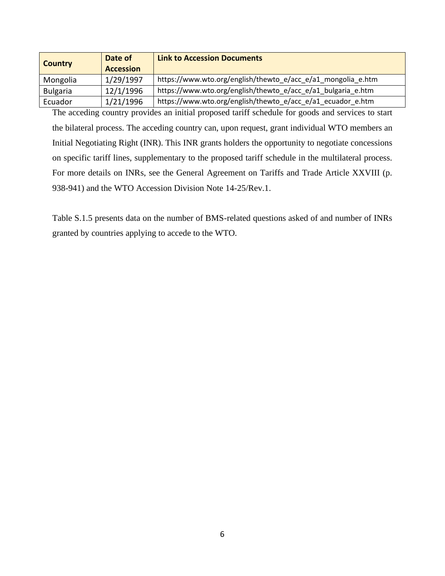| <b>Country</b>  | Date of<br><b>Accession</b> | <b>Link to Accession Documents</b>                           |
|-----------------|-----------------------------|--------------------------------------------------------------|
| Mongolia        | 1/29/1997                   | https://www.wto.org/english/thewto_e/acc_e/a1_mongolia_e.htm |
| <b>Bulgaria</b> | 12/1/1996                   | https://www.wto.org/english/thewto_e/acc_e/a1_bulgaria_e.htm |
| Ecuador         | 1/21/1996                   | https://www.wto.org/english/thewto_e/acc_e/a1_ecuador_e.htm  |

The acceding country provides an initial proposed tariff schedule for goods and services to start the bilateral process. The acceding country can, upon request, grant individual WTO members an Initial Negotiating Right (INR). This INR grants holders the opportunity to negotiate concessions on specific tariff lines, supplementary to the proposed tariff schedule in the multilateral process. For more details on INRs, see the General Agreement on Tariffs and Trade Article XXVIII (p. 938-941) and the WTO Accession Division Note 14-25/Rev.1.

Table S.1.5 presents data on the number of BMS-related questions asked of and number of INRs granted by countries applying to accede to the WTO.